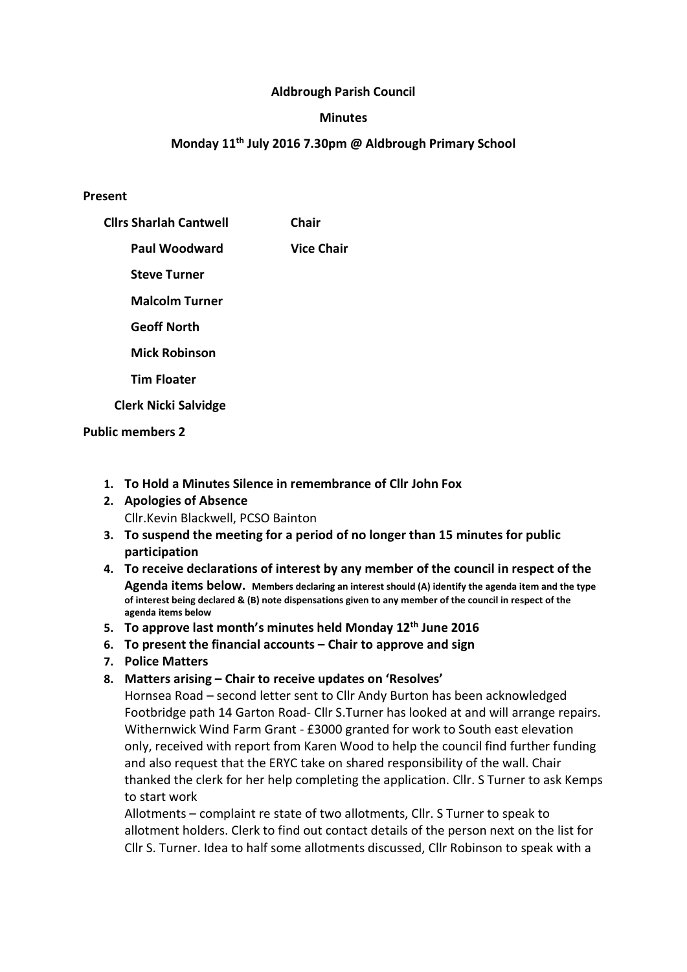### Aldbrough Parish Council

#### **Minutes**

#### Monday 11th July 2016 7.30pm @ Aldbrough Primary School

#### Present

| <b>Clirs Sharlah Cantwell</b> | <b>Chair</b>      |
|-------------------------------|-------------------|
| Paul Woodward                 | <b>Vice Chair</b> |
| <b>Steve Turner</b>           |                   |
| <b>Malcolm Turner</b>         |                   |
| <b>Geoff North</b>            |                   |
| <b>Mick Robinson</b>          |                   |
| <b>Tim Floater</b>            |                   |
| <b>Clerk Nicki Salvidge</b>   |                   |

#### Public members 2

- 1. To Hold a Minutes Silence in remembrance of Cllr John Fox
- 2. Apologies of Absence Cllr.Kevin Blackwell, PCSO Bainton
- 3. To suspend the meeting for a period of no longer than 15 minutes for public participation
- 4. To receive declarations of interest by any member of the council in respect of the Agenda items below. Members declaring an interest should (A) identify the agenda item and the type of interest being declared & (B) note dispensations given to any member of the council in respect of the agenda items below
- 5. To approve last month's minutes held Monday 12<sup>th</sup> June 2016
- 6. To present the financial accounts Chair to approve and sign
- 7. Police Matters
- 8. Matters arising Chair to receive updates on 'Resolves'

Hornsea Road – second letter sent to Cllr Andy Burton has been acknowledged Footbridge path 14 Garton Road- Cllr S.Turner has looked at and will arrange repairs. Withernwick Wind Farm Grant - £3000 granted for work to South east elevation only, received with report from Karen Wood to help the council find further funding and also request that the ERYC take on shared responsibility of the wall. Chair thanked the clerk for her help completing the application. Cllr. S Turner to ask Kemps to start work

Allotments – complaint re state of two allotments, Cllr. S Turner to speak to allotment holders. Clerk to find out contact details of the person next on the list for Cllr S. Turner. Idea to half some allotments discussed, Cllr Robinson to speak with a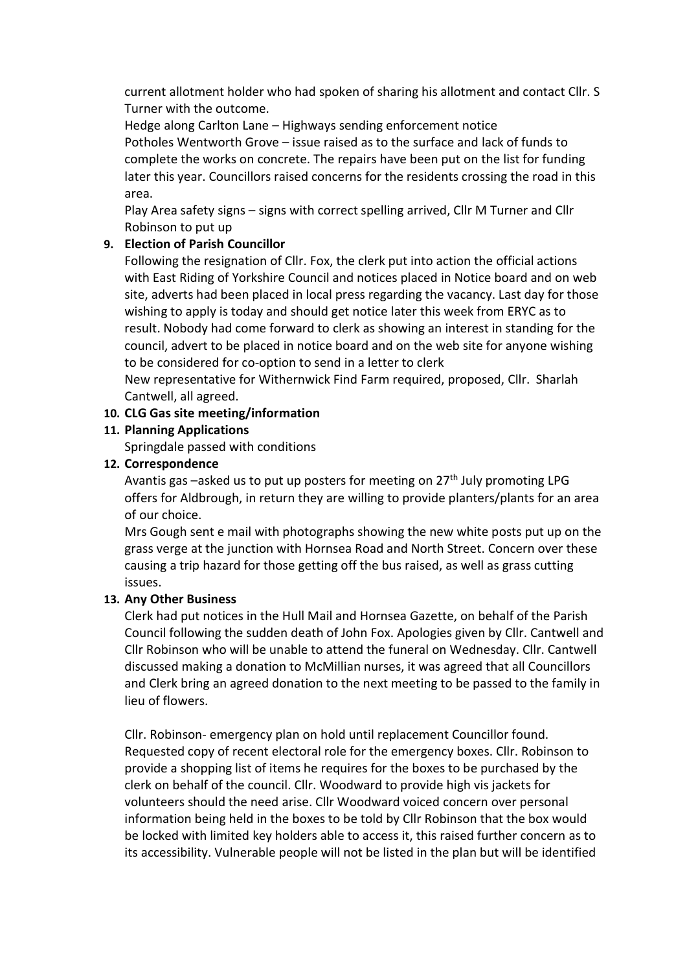current allotment holder who had spoken of sharing his allotment and contact Cllr. S Turner with the outcome.

Hedge along Carlton Lane – Highways sending enforcement notice Potholes Wentworth Grove – issue raised as to the surface and lack of funds to complete the works on concrete. The repairs have been put on the list for funding later this year. Councillors raised concerns for the residents crossing the road in this area.

Play Area safety signs – signs with correct spelling arrived, Cllr M Turner and Cllr Robinson to put up

# 9. Election of Parish Councillor

Following the resignation of Cllr. Fox, the clerk put into action the official actions with East Riding of Yorkshire Council and notices placed in Notice board and on web site, adverts had been placed in local press regarding the vacancy. Last day for those wishing to apply is today and should get notice later this week from ERYC as to result. Nobody had come forward to clerk as showing an interest in standing for the council, advert to be placed in notice board and on the web site for anyone wishing to be considered for co-option to send in a letter to clerk

New representative for Withernwick Find Farm required, proposed, Cllr. Sharlah Cantwell, all agreed.

# 10. CLG Gas site meeting/information

## 11. Planning Applications

Springdale passed with conditions

# 12. Correspondence

Avantis gas –asked us to put up posters for meeting on 27<sup>th</sup> July promoting LPG offers for Aldbrough, in return they are willing to provide planters/plants for an area of our choice.

Mrs Gough sent e mail with photographs showing the new white posts put up on the grass verge at the junction with Hornsea Road and North Street. Concern over these causing a trip hazard for those getting off the bus raised, as well as grass cutting issues.

# 13. Any Other Business

Clerk had put notices in the Hull Mail and Hornsea Gazette, on behalf of the Parish Council following the sudden death of John Fox. Apologies given by Cllr. Cantwell and Cllr Robinson who will be unable to attend the funeral on Wednesday. Cllr. Cantwell discussed making a donation to McMillian nurses, it was agreed that all Councillors and Clerk bring an agreed donation to the next meeting to be passed to the family in lieu of flowers.

Cllr. Robinson- emergency plan on hold until replacement Councillor found. Requested copy of recent electoral role for the emergency boxes. Cllr. Robinson to provide a shopping list of items he requires for the boxes to be purchased by the clerk on behalf of the council. Cllr. Woodward to provide high vis jackets for volunteers should the need arise. Cllr Woodward voiced concern over personal information being held in the boxes to be told by Cllr Robinson that the box would be locked with limited key holders able to access it, this raised further concern as to its accessibility. Vulnerable people will not be listed in the plan but will be identified